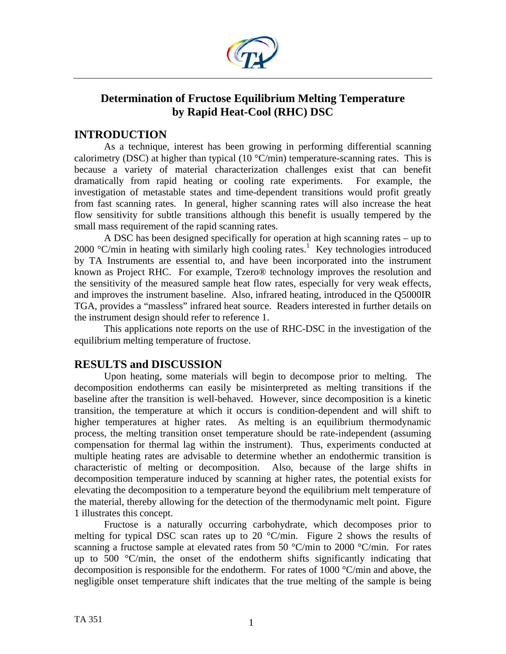

# **Determination of Fructose Equilibrium Melting Temperature by Rapid Heat-Cool (RHC) DSC**

## **INTRODUCTION**

As a technique, interest has been growing in performing differential scanning calorimetry (DSC) at higher than typical (10  $\degree$ C/min) temperature-scanning rates. This is because a variety of material characterization challenges exist that can benefit dramatically from rapid heating or cooling rate experiments. For example, the investigation of metastable states and time-dependent transitions would profit greatly from fast scanning rates. In general, higher scanning rates will also increase the heat flow sensitivity for subtle transitions although this benefit is usually tempered by the small mass requirement of the rapid scanning rates.

 A DSC has been designed specifically for operation at high scanning rates – up to  $2000$  °C/min in heating with similarly high cooling rates.<sup>1</sup> Key technologies introduced by TA Instruments are essential to, and have been incorporated into the instrument known as Project RHC. For example, Tzero® technology improves the resolution and the sensitivity of the measured sample heat flow rates, especially for very weak effects, and improves the instrument baseline. Also, infrared heating, introduced in the Q5000IR TGA, provides a "massless" infrared heat source. Readers interested in further details on the instrument design should refer to reference 1.

This applications note reports on the use of RHC-DSC in the investigation of the equilibrium melting temperature of fructose.

## **RESULTS and DISCUSSION**

 Upon heating, some materials will begin to decompose prior to melting. The decomposition endotherms can easily be misinterpreted as melting transitions if the baseline after the transition is well-behaved. However, since decomposition is a kinetic transition, the temperature at which it occurs is condition-dependent and will shift to higher temperatures at higher rates. As melting is an equilibrium thermodynamic process, the melting transition onset temperature should be rate-independent (assuming compensation for thermal lag within the instrument). Thus, experiments conducted at multiple heating rates are advisable to determine whether an endothermic transition is characteristic of melting or decomposition. Also, because of the large shifts in decomposition temperature induced by scanning at higher rates, the potential exists for elevating the decomposition to a temperature beyond the equilibrium melt temperature of the material, thereby allowing for the detection of the thermodynamic melt point. Figure 1 illustrates this concept.

 Fructose is a naturally occurring carbohydrate, which decomposes prior to melting for typical DSC scan rates up to 20  $\degree$ C/min. Figure 2 shows the results of scanning a fructose sample at elevated rates from 50  $^{\circ}$ C/min to 2000  $^{\circ}$ C/min. For rates up to 500 °C/min, the onset of the endotherm shifts significantly indicating that decomposition is responsible for the endotherm. For rates of 1000 °C/min and above, the negligible onset temperature shift indicates that the true melting of the sample is being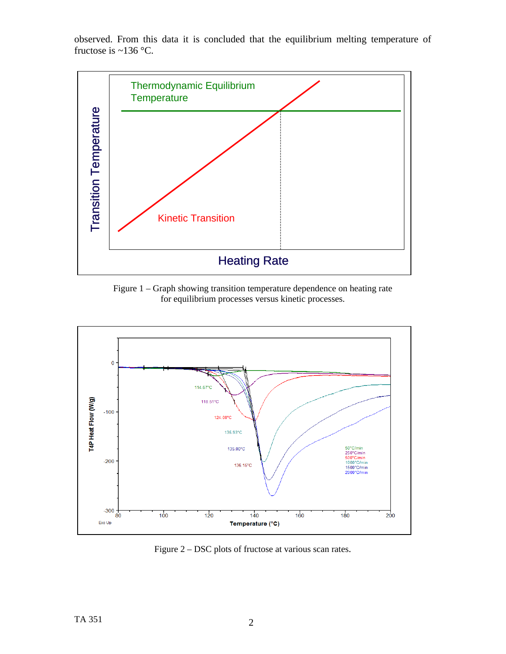

observed. From this data it is concluded that the equilibrium melting temperature of fructose is  $\sim$ 136 °C.

Figure 1 – Graph showing transition temperature dependence on heating rate for equilibrium processes versus kinetic processes.



Figure 2 – DSC plots of fructose at various scan rates.